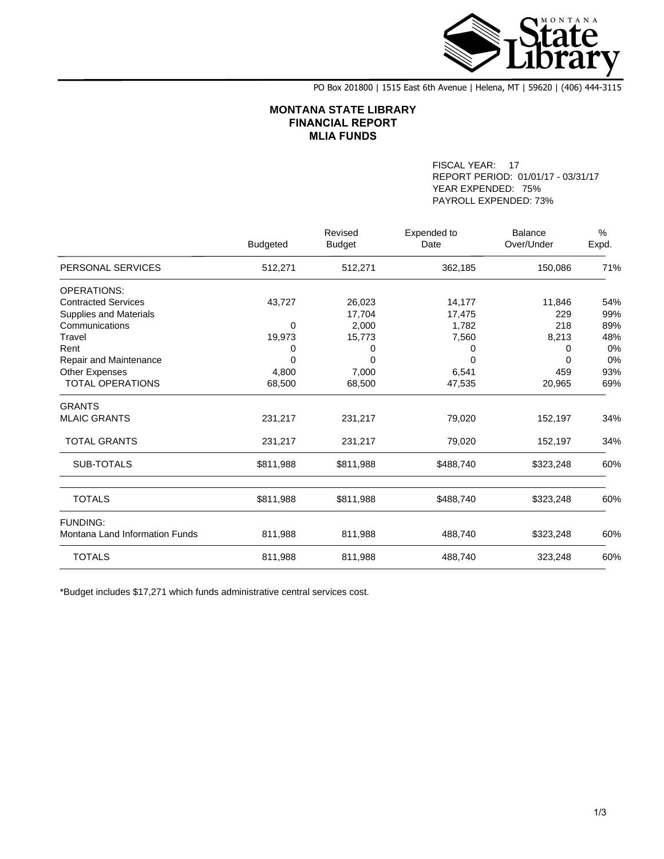

PO Box 201800 | 1515 East 6th Avenue | Helena, MT | 59620 | (406) 444-3115

## **MONTANA STATE LIBRARY FINANCIAL REPORT MLIA FUNDS**

FISCAL YEAR: 17 REPORT PERIOD: 01/01/17 - 03/31/17 YEAR EXPENDED: 75% PAYROLL EXPENDED: 73%

|                                |                 | Revised       | Expended to | <b>Balance</b> | $\%$  |
|--------------------------------|-----------------|---------------|-------------|----------------|-------|
|                                | <b>Budgeted</b> | <b>Budget</b> | Date        | Over/Under     | Expd. |
| PERSONAL SERVICES              | 512,271         | 512,271       | 362,185     | 150,086        | 71%   |
| <b>OPERATIONS:</b>             |                 |               |             |                |       |
| <b>Contracted Services</b>     | 43,727          | 26,023        | 14,177      | 11,846         | 54%   |
| <b>Supplies and Materials</b>  |                 | 17,704        | 17,475      | 229            | 99%   |
| Communications                 | 0               | 2,000         | 1,782       | 218            | 89%   |
| Travel                         | 19,973          | 15,773        | 7,560       | 8,213          | 48%   |
| Rent                           | 0               | 0             | 0           | 0              | 0%    |
| Repair and Maintenance         | 0               | O             | 0           | <sup>0</sup>   | 0%    |
| Other Expenses                 | 4,800           | 7,000         | 6,541       | 459            | 93%   |
| <b>TOTAL OPERATIONS</b>        | 68,500          | 68,500        | 47,535      | 20,965         | 69%   |
| <b>GRANTS</b>                  |                 |               |             |                |       |
| <b>MLAIC GRANTS</b>            | 231,217         | 231,217       | 79,020      | 152,197        | 34%   |
| <b>TOTAL GRANTS</b>            | 231,217         | 231,217       | 79,020      | 152,197        | 34%   |
| SUB-TOTALS                     | \$811,988       | \$811,988     | \$488,740   | \$323,248      | 60%   |
| <b>TOTALS</b>                  | \$811,988       | \$811,988     | \$488,740   | \$323,248      | 60%   |
| <b>FUNDING:</b>                |                 |               |             |                |       |
| Montana Land Information Funds | 811,988         | 811,988       | 488,740     | \$323,248      | 60%   |
| <b>TOTALS</b>                  | 811,988         | 811,988       | 488,740     | 323,248        | 60%   |

\*Budget includes \$17,271 which funds administrative central services cost.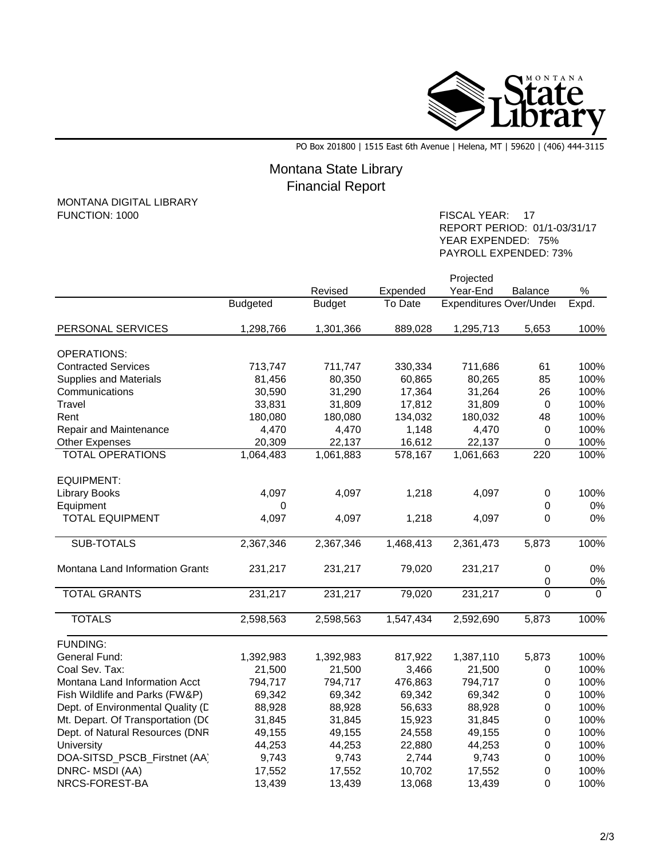

PO Box 201800 | 1515 East 6th Avenue | Helena, MT | 59620 | (406) 444-3115

## Montana State Library Financial Report

## MONTANA DIGITAL LIBRARY<br>FUNCTION: 1000

FISCAL YEAR: 17 REPORT PERIOD: 01/1-03/31/17 YEAR EXPENDED: 75% PAYROLL EXPENDED: 73%

|                                   |                 | Projected     |           |                         |             |          |  |
|-----------------------------------|-----------------|---------------|-----------|-------------------------|-------------|----------|--|
|                                   |                 | Revised       | Expended  | Year-End                | Balance     | $\%$     |  |
|                                   | <b>Budgeted</b> | <b>Budget</b> | To Date   | Expenditures Over/Under |             | Expd.    |  |
| PERSONAL SERVICES                 | 1,298,766       | 1,301,366     | 889,028   | 1,295,713               | 5,653       | 100%     |  |
| <b>OPERATIONS:</b>                |                 |               |           |                         |             |          |  |
| <b>Contracted Services</b>        | 713,747         | 711,747       | 330,334   | 711,686                 | 61          | 100%     |  |
| <b>Supplies and Materials</b>     | 81,456          | 80,350        | 60,865    | 80,265                  | 85          | 100%     |  |
| Communications                    | 30,590          | 31,290        | 17,364    | 31,264                  | 26          | 100%     |  |
| Travel                            | 33,831          | 31,809        | 17,812    | 31,809                  | $\mathbf 0$ | 100%     |  |
| Rent                              | 180,080         | 180,080       | 134,032   | 180,032                 | 48          | 100%     |  |
| Repair and Maintenance            | 4,470           | 4,470         | 1,148     | 4,470                   | $\pmb{0}$   | 100%     |  |
| <b>Other Expenses</b>             | 20,309          | 22,137        | 16,612    | 22,137                  | 0           | 100%     |  |
| <b>TOTAL OPERATIONS</b>           | 1,064,483       | 1,061,883     | 578,167   | 1,061,663               | 220         | 100%     |  |
| <b>EQUIPMENT:</b>                 |                 |               |           |                         |             |          |  |
| <b>Library Books</b>              | 4,097           | 4,097         | 1,218     | 4,097                   | $\pmb{0}$   | 100%     |  |
| Equipment                         | 0               |               |           |                         | 0           | 0%       |  |
| <b>TOTAL EQUIPMENT</b>            | 4,097           | 4,097         | 1,218     | 4,097                   | $\Omega$    | 0%       |  |
| <b>SUB-TOTALS</b>                 | 2,367,346       | 2,367,346     | 1,468,413 | 2,361,473               | 5,873       | 100%     |  |
| Montana Land Information Grants   | 231,217         | 231,217       | 79,020    | 231,217                 | $\pmb{0}$   | 0%       |  |
|                                   |                 |               |           |                         | $\pmb{0}$   | $0\%$    |  |
| <b>TOTAL GRANTS</b>               | 231,217         | 231,217       | 79,020    | 231,217                 | $\Omega$    | $\Omega$ |  |
| <b>TOTALS</b>                     | 2,598,563       | 2,598,563     | 1,547,434 | 2,592,690               | 5,873       | 100%     |  |
| <b>FUNDING:</b>                   |                 |               |           |                         |             |          |  |
| General Fund:                     | 1,392,983       | 1,392,983     | 817,922   | 1,387,110               | 5,873       | 100%     |  |
| Coal Sev. Tax:                    | 21,500          | 21,500        | 3,466     | 21,500                  | 0           | 100%     |  |
| Montana Land Information Acct     | 794,717         | 794,717       | 476,863   | 794,717                 | 0           | 100%     |  |
| Fish Wildlife and Parks (FW&P)    | 69,342          | 69,342        | 69,342    | 69,342                  | 0           | 100%     |  |
| Dept. of Environmental Quality (L | 88,928          | 88,928        | 56,633    | 88,928                  | 0           | 100%     |  |
| Mt. Depart. Of Transportation (DC | 31,845          | 31,845        | 15,923    | 31,845                  | 0           | 100%     |  |
| Dept. of Natural Resources (DNR   | 49,155          | 49,155        | 24,558    | 49,155                  | $\pmb{0}$   | 100%     |  |
| University                        | 44,253          | 44,253        | 22,880    | 44,253                  | $\mathbf 0$ | 100%     |  |
| DOA-SITSD_PSCB_Firstnet (AA)      | 9,743           | 9,743         | 2,744     | 9,743                   | 0           | 100%     |  |
| DNRC-MSDI (AA)                    | 17,552          | 17,552        | 10,702    | 17,552                  | 0           | 100%     |  |
| NRCS-FOREST-BA                    | 13,439          | 13,439        | 13,068    | 13,439                  | 0           | 100%     |  |